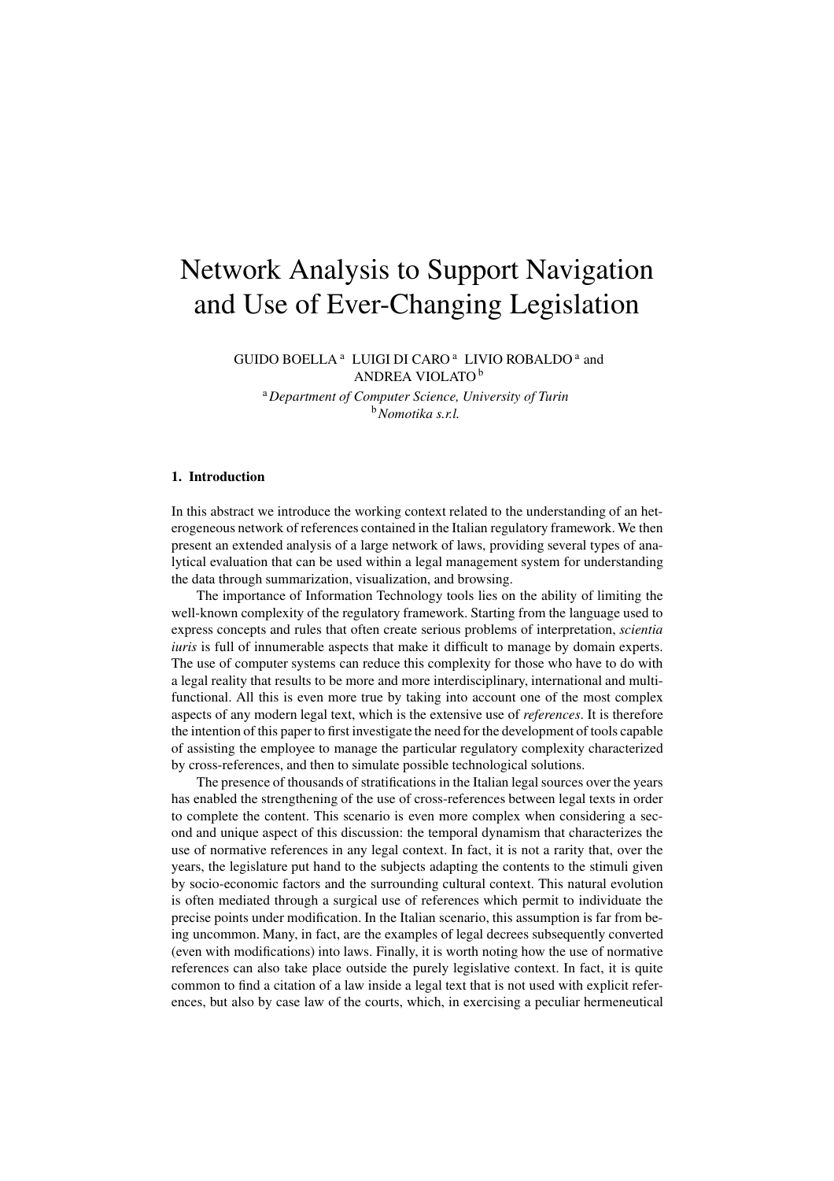# Network Analysis to Support Navigation and Use of Ever-Changing Legislation

GUIDO BOELLA<sup>a</sup> LUIGI DI CARO<sup>a</sup> LIVIO ROBALDO<sup>a</sup> and ANDREA VIOLATO <sup>b</sup>

<sup>a</sup>*Department of Computer Science, University of Turin* <sup>b</sup>*Nomotika s.r.l.*

## **1. Introduction**

In this abstract we introduce the working context related to the understanding of an heterogeneous network of references contained in the Italian regulatory framework. We then present an extended analysis of a large network of laws, providing several types of analytical evaluation that can be used within a legal management system for understanding the data through summarization, visualization, and browsing.

The importance of Information Technology tools lies on the ability of limiting the well-known complexity of the regulatory framework. Starting from the language used to express concepts and rules that often create serious problems of interpretation, *scientia iuris* is full of innumerable aspects that make it difficult to manage by domain experts. The use of computer systems can reduce this complexity for those who have to do with a legal reality that results to be more and more interdisciplinary, international and multifunctional. All this is even more true by taking into account one of the most complex aspects of any modern legal text, which is the extensive use of *references*. It is therefore the intention of this paper to first investigate the need for the development of tools capable of assisting the employee to manage the particular regulatory complexity characterized by cross-references, and then to simulate possible technological solutions.

The presence of thousands of stratifications in the Italian legal sources over the years has enabled the strengthening of the use of cross-references between legal texts in order to complete the content. This scenario is even more complex when considering a second and unique aspect of this discussion: the temporal dynamism that characterizes the use of normative references in any legal context. In fact, it is not a rarity that, over the years, the legislature put hand to the subjects adapting the contents to the stimuli given by socio-economic factors and the surrounding cultural context. This natural evolution is often mediated through a surgical use of references which permit to individuate the precise points under modification. In the Italian scenario, this assumption is far from being uncommon. Many, in fact, are the examples of legal decrees subsequently converted (even with modifications) into laws. Finally, it is worth noting how the use of normative references can also take place outside the purely legislative context. In fact, it is quite common to find a citation of a law inside a legal text that is not used with explicit references, but also by case law of the courts, which, in exercising a peculiar hermeneutical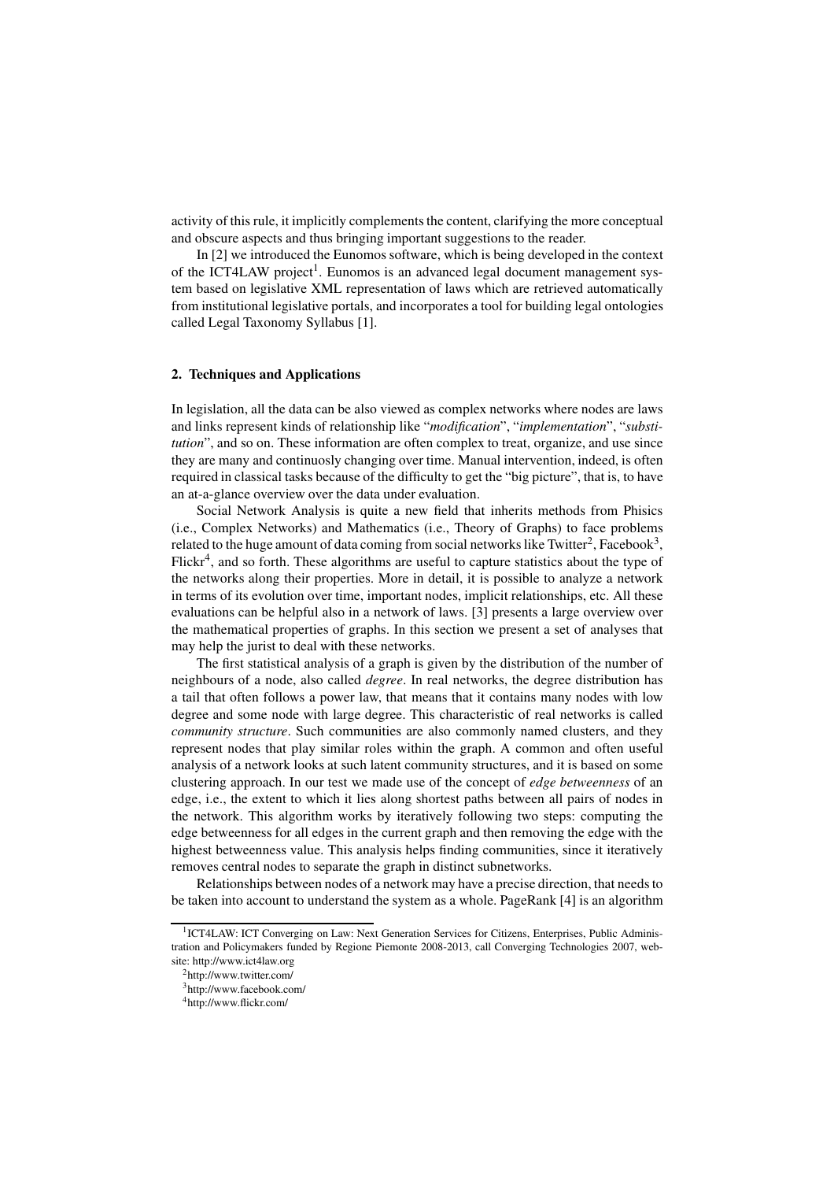activity of this rule, it implicitly complements the content, clarifying the more conceptual and obscure aspects and thus bringing important suggestions to the reader.

In [2] we introduced the Eunomos software, which is being developed in the context of the ICT4LAW project<sup>1</sup>. Eunomos is an advanced legal document management system based on legislative XML representation of laws which are retrieved automatically from institutional legislative portals, and incorporates a tool for building legal ontologies called Legal Taxonomy Syllabus [1].

### **2. Techniques and Applications**

In legislation, all the data can be also viewed as complex networks where nodes are laws and links represent kinds of relationship like "*modification*", "*implementation*", "*substitution*", and so on. These information are often complex to treat, organize, and use since they are many and continuosly changing over time. Manual intervention, indeed, is often required in classical tasks because of the difficulty to get the "big picture", that is, to have an at-a-glance overview over the data under evaluation.

Social Network Analysis is quite a new field that inherits methods from Phisics (i.e., Complex Networks) and Mathematics (i.e., Theory of Graphs) to face problems related to the huge amount of data coming from social networks like Twitter $^2$ , Facebook $^3$ , Flickr<sup>4</sup>, and so forth. These algorithms are useful to capture statistics about the type of the networks along their properties. More in detail, it is possible to analyze a network in terms of its evolution over time, important nodes, implicit relationships, etc. All these evaluations can be helpful also in a network of laws. [3] presents a large overview over the mathematical properties of graphs. In this section we present a set of analyses that may help the jurist to deal with these networks.

The first statistical analysis of a graph is given by the distribution of the number of neighbours of a node, also called *degree*. In real networks, the degree distribution has a tail that often follows a power law, that means that it contains many nodes with low degree and some node with large degree. This characteristic of real networks is called *community structure*. Such communities are also commonly named clusters, and they represent nodes that play similar roles within the graph. A common and often useful analysis of a network looks at such latent community structures, and it is based on some clustering approach. In our test we made use of the concept of *edge betweenness* of an edge, i.e., the extent to which it lies along shortest paths between all pairs of nodes in the network. This algorithm works by iteratively following two steps: computing the edge betweenness for all edges in the current graph and then removing the edge with the highest betweenness value. This analysis helps finding communities, since it iteratively removes central nodes to separate the graph in distinct subnetworks.

Relationships between nodes of a network may have a precise direction, that needs to be taken into account to understand the system as a whole. PageRank [4] is an algorithm

<sup>&</sup>lt;sup>1</sup>ICT4LAW: ICT Converging on Law: Next Generation Services for Citizens, Enterprises, Public Administration and Policymakers funded by Regione Piemonte 2008-2013, call Converging Technologies 2007, website: http://www.ict4law.org

<sup>2</sup>http://www.twitter.com/

<sup>3</sup>http://www.facebook.com/

<sup>4</sup>http://www.flickr.com/